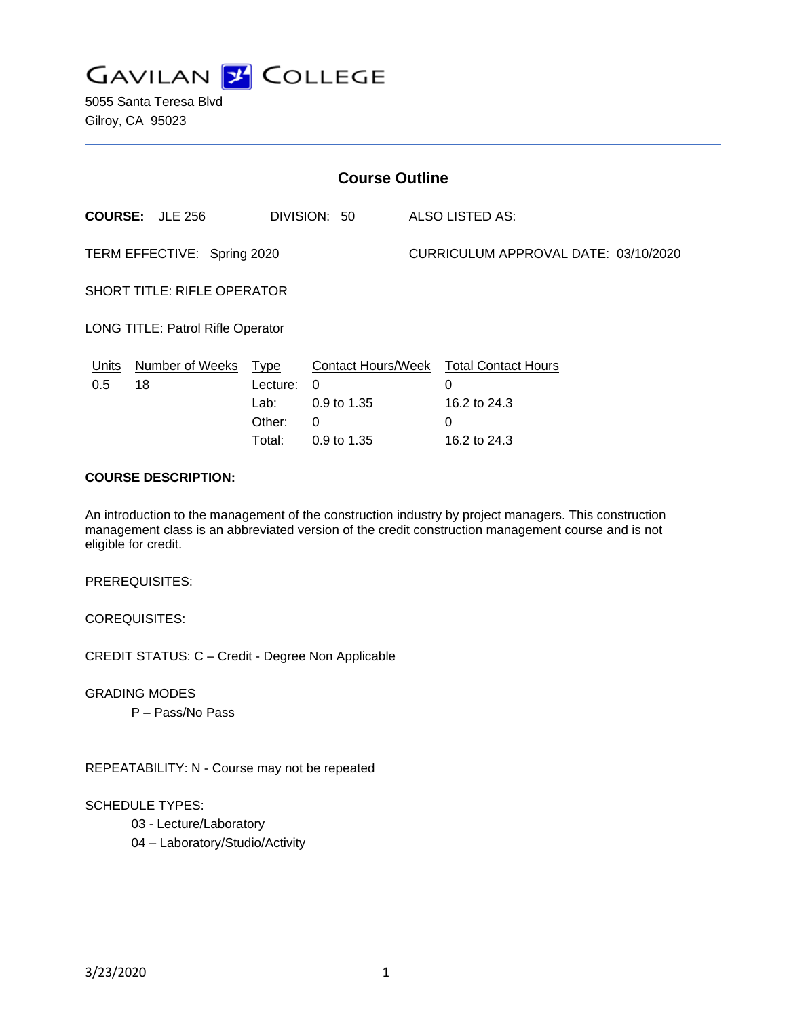

5055 Santa Teresa Blvd Gilroy, CA 95023

| <b>Course Outline</b>              |                        |                                    |                                                    |                                      |                                                      |
|------------------------------------|------------------------|------------------------------------|----------------------------------------------------|--------------------------------------|------------------------------------------------------|
|                                    | <b>COURSE: JLE 256</b> |                                    | DIVISION: 50                                       |                                      | <b>ALSO LISTED AS:</b>                               |
| TERM EFFECTIVE: Spring 2020        |                        |                                    |                                                    | CURRICULUM APPROVAL DATE: 03/10/2020 |                                                      |
| <b>SHORT TITLE: RIFLE OPERATOR</b> |                        |                                    |                                                    |                                      |                                                      |
| LONG TITLE: Patrol Rifle Operator  |                        |                                    |                                                    |                                      |                                                      |
| Units<br>0.5                       | Number of Weeks<br>18  | Type<br>Lecture:<br>Lab:<br>Other: | <b>Contact Hours/Week</b><br>0<br>0.9 to 1.35<br>0 |                                      | <b>Total Contact Hours</b><br>0<br>16.2 to 24.3<br>0 |
|                                    |                        | Total:                             | 0.9 to 1.35                                        |                                      | 16.2 to 24.3                                         |

#### **COURSE DESCRIPTION:**

An introduction to the management of the construction industry by project managers. This construction management class is an abbreviated version of the credit construction management course and is not eligible for credit.

PREREQUISITES:

COREQUISITES:

CREDIT STATUS: C – Credit - Degree Non Applicable

GRADING MODES

P – Pass/No Pass

REPEATABILITY: N - Course may not be repeated

SCHEDULE TYPES:

03 - Lecture/Laboratory

04 – Laboratory/Studio/Activity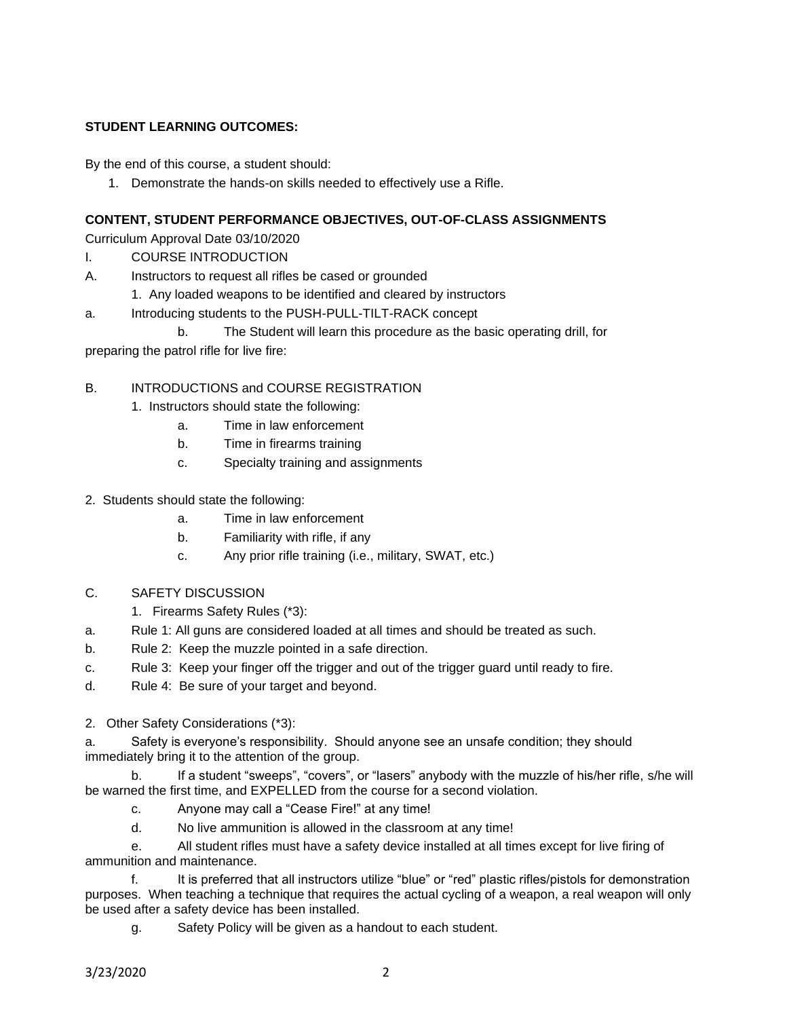### **STUDENT LEARNING OUTCOMES:**

By the end of this course, a student should:

1. Demonstrate the hands-on skills needed to effectively use a Rifle.

#### **CONTENT, STUDENT PERFORMANCE OBJECTIVES, OUT-OF-CLASS ASSIGNMENTS**

Curriculum Approval Date 03/10/2020

- I. COURSE INTRODUCTION
- A. Instructors to request all rifles be cased or grounded
	- 1. Any loaded weapons to be identified and cleared by instructors
- a. Introducing students to the PUSH-PULL-TILT-RACK concept
- b. The Student will learn this procedure as the basic operating drill, for

preparing the patrol rifle for live fire:

### B. INTRODUCTIONS and COURSE REGISTRATION

- 1. Instructors should state the following:
	- a. Time in law enforcement
	- b. Time in firearms training
	- c. Specialty training and assignments
- 2. Students should state the following:
	- a. Time in law enforcement
	- b. Familiarity with rifle, if any
	- c. Any prior rifle training (i.e., military, SWAT, etc.)
- C. SAFETY DISCUSSION
	- 1. Firearms Safety Rules (\*3):
- a. Rule 1: All guns are considered loaded at all times and should be treated as such.
- b. Rule 2: Keep the muzzle pointed in a safe direction.
- c. Rule 3: Keep your finger off the trigger and out of the trigger guard until ready to fire.
- d. Rule 4: Be sure of your target and beyond.
- 2. Other Safety Considerations (\*3):

a. Safety is everyone's responsibility. Should anyone see an unsafe condition; they should immediately bring it to the attention of the group.

b. If a student "sweeps", "covers", or "lasers" anybody with the muzzle of his/her rifle, s/he will be warned the first time, and EXPELLED from the course for a second violation.

- c. Anyone may call a "Cease Fire!" at any time!
- d. No live ammunition is allowed in the classroom at any time!

e. All student rifles must have a safety device installed at all times except for live firing of ammunition and maintenance.

f. It is preferred that all instructors utilize "blue" or "red" plastic rifles/pistols for demonstration purposes. When teaching a technique that requires the actual cycling of a weapon, a real weapon will only be used after a safety device has been installed.

g. Safety Policy will be given as a handout to each student.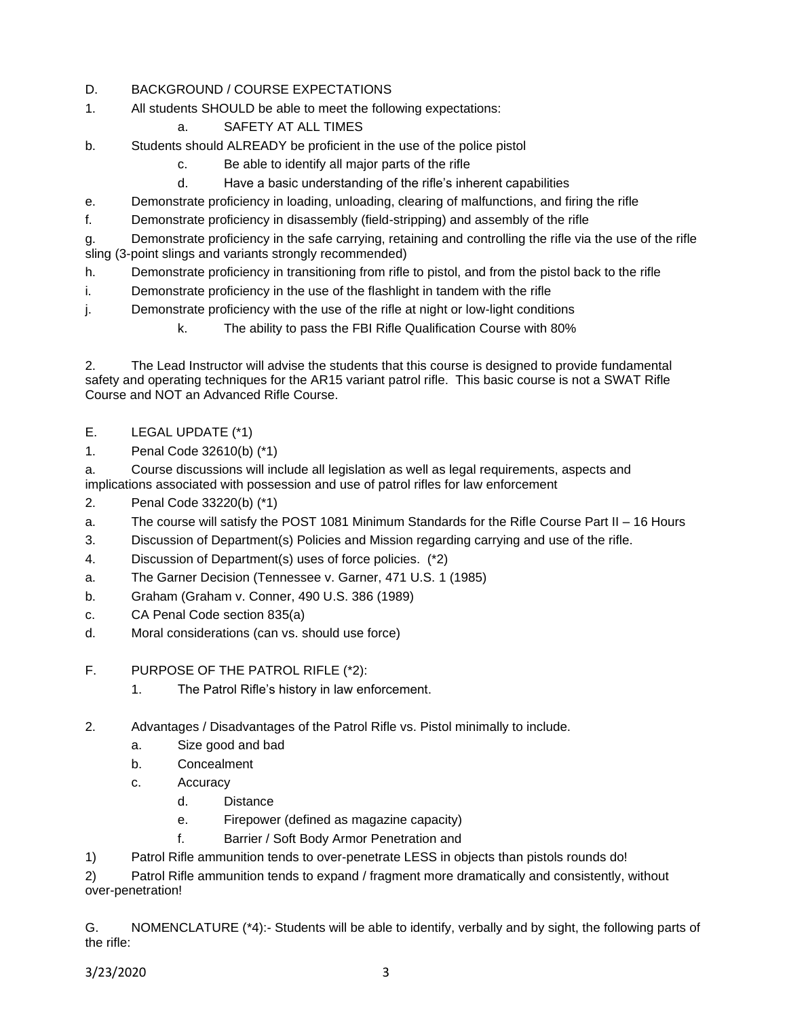### D. BACKGROUND / COURSE EXPECTATIONS

- 1. All students SHOULD be able to meet the following expectations:
	- a. SAFETY AT ALL TIMES
- b. Students should ALREADY be proficient in the use of the police pistol
	- c. Be able to identify all major parts of the rifle
	- d. Have a basic understanding of the rifle's inherent capabilities
- e. Demonstrate proficiency in loading, unloading, clearing of malfunctions, and firing the rifle
- f. Demonstrate proficiency in disassembly (field-stripping) and assembly of the rifle

g. Demonstrate proficiency in the safe carrying, retaining and controlling the rifle via the use of the rifle sling (3-point slings and variants strongly recommended)

- h. Demonstrate proficiency in transitioning from rifle to pistol, and from the pistol back to the rifle
- i. Demonstrate proficiency in the use of the flashlight in tandem with the rifle
- j. Demonstrate proficiency with the use of the rifle at night or low-light conditions
	- k. The ability to pass the FBI Rifle Qualification Course with 80%

2. The Lead Instructor will advise the students that this course is designed to provide fundamental safety and operating techniques for the AR15 variant patrol rifle. This basic course is not a SWAT Rifle Course and NOT an Advanced Rifle Course.

- E. LEGAL UPDATE (\*1)
- 1. Penal Code 32610(b) (\*1)

a. Course discussions will include all legislation as well as legal requirements, aspects and implications associated with possession and use of patrol rifles for law enforcement

- 2. Penal Code 33220(b) (\*1)
- a. The course will satisfy the POST 1081 Minimum Standards for the Rifle Course Part II 16 Hours
- 3. Discussion of Department(s) Policies and Mission regarding carrying and use of the rifle.
- 4. Discussion of Department(s) uses of force policies. (\*2)
- a. The Garner Decision (Tennessee v. Garner, 471 U.S. 1 (1985)
- b. Graham (Graham v. Conner, 490 U.S. 386 (1989)
- c. CA Penal Code section 835(a)
- d. Moral considerations (can vs. should use force)
- F. PURPOSE OF THE PATROL RIFLE (\*2):
	- 1. The Patrol Rifle's history in law enforcement.
- 2. Advantages / Disadvantages of the Patrol Rifle vs. Pistol minimally to include.
	- a. Size good and bad
	- b. Concealment
	- c. Accuracy
		- d. Distance
		- e. Firepower (defined as magazine capacity)
		- f. Barrier / Soft Body Armor Penetration and
- 1) Patrol Rifle ammunition tends to over-penetrate LESS in objects than pistols rounds do!

2) Patrol Rifle ammunition tends to expand / fragment more dramatically and consistently, without over-penetration!

G. NOMENCLATURE (\*4):- Students will be able to identify, verbally and by sight, the following parts of the rifle: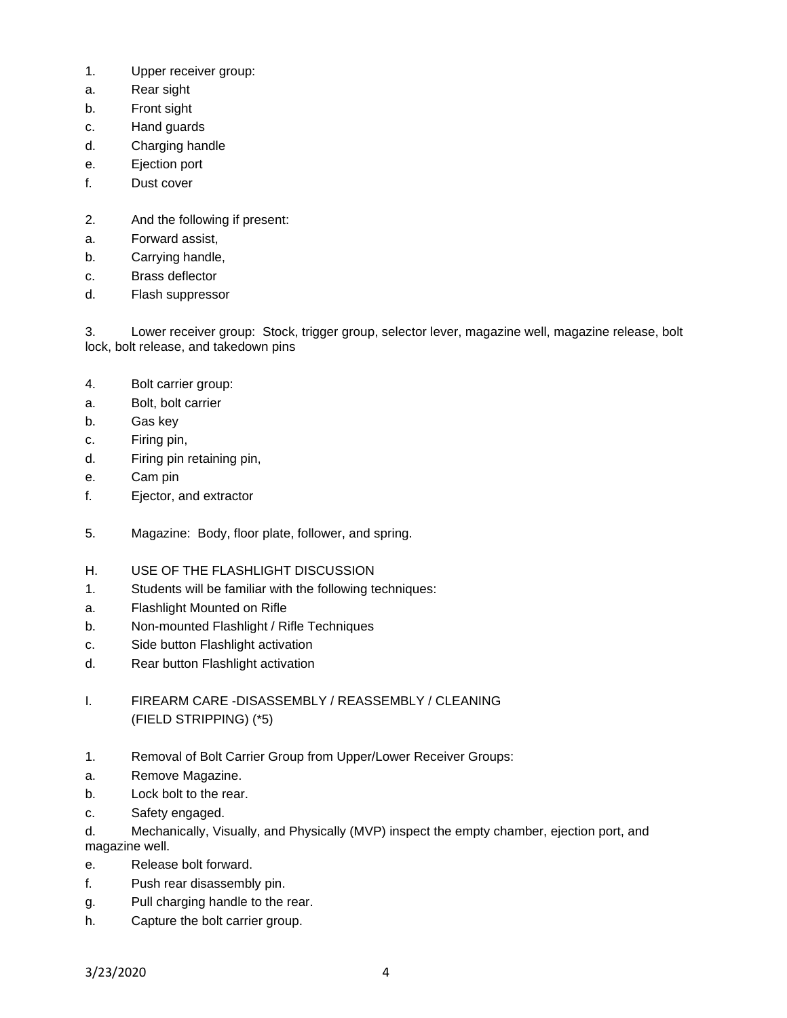- 1. Upper receiver group:
- a. Rear sight
- b. Front sight
- c. Hand guards
- d. Charging handle
- e. Ejection port
- f. Dust cover
- 2. And the following if present:
- a. Forward assist,
- b. Carrying handle,
- c. Brass deflector
- d. Flash suppressor

3. Lower receiver group: Stock, trigger group, selector lever, magazine well, magazine release, bolt lock, bolt release, and takedown pins

- 4. Bolt carrier group:
- a. Bolt, bolt carrier
- b. Gas key
- c. Firing pin,
- d. Firing pin retaining pin,
- e. Cam pin
- f. Ejector, and extractor
- 5. Magazine: Body, floor plate, follower, and spring.
- H. USE OF THE FLASHLIGHT DISCUSSION
- 1. Students will be familiar with the following techniques:
- a. Flashlight Mounted on Rifle
- b. Non-mounted Flashlight / Rifle Techniques
- c. Side button Flashlight activation
- d. Rear button Flashlight activation
- I. FIREARM CARE -DISASSEMBLY / REASSEMBLY / CLEANING (FIELD STRIPPING) (\*5)
- 1. Removal of Bolt Carrier Group from Upper/Lower Receiver Groups:
- a. Remove Magazine.
- b. Lock bolt to the rear.
- c. Safety engaged.
- d. Mechanically, Visually, and Physically (MVP) inspect the empty chamber, ejection port, and magazine well.
- e. Release bolt forward.
- f. Push rear disassembly pin.
- g. Pull charging handle to the rear.
- h. Capture the bolt carrier group.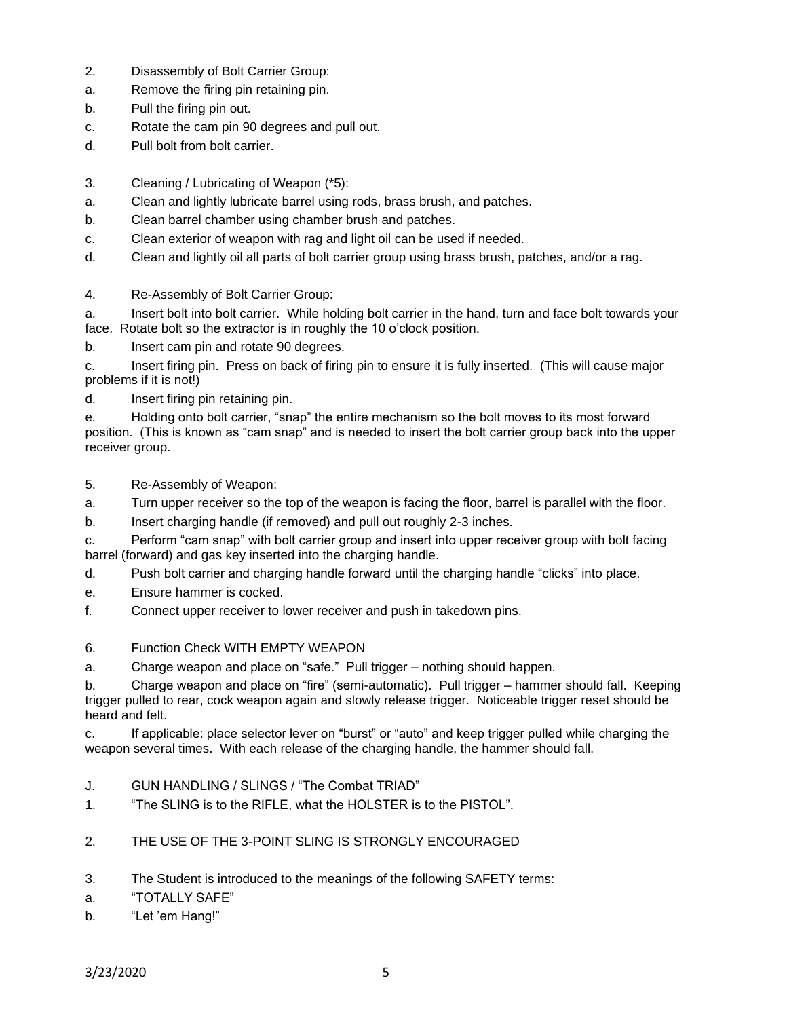- 2. Disassembly of Bolt Carrier Group:
- a. Remove the firing pin retaining pin.
- b. Pull the firing pin out.
- c. Rotate the cam pin 90 degrees and pull out.
- d. Pull bolt from bolt carrier.
- 3. Cleaning / Lubricating of Weapon (\*5):
- a. Clean and lightly lubricate barrel using rods, brass brush, and patches.
- b. Clean barrel chamber using chamber brush and patches.
- c. Clean exterior of weapon with rag and light oil can be used if needed.
- d. Clean and lightly oil all parts of bolt carrier group using brass brush, patches, and/or a rag.
- 4. Re-Assembly of Bolt Carrier Group:
- a. Insert bolt into bolt carrier. While holding bolt carrier in the hand, turn and face bolt towards your face. Rotate bolt so the extractor is in roughly the 10 o'clock position.

b. Insert cam pin and rotate 90 degrees.

c. Insert firing pin. Press on back of firing pin to ensure it is fully inserted. (This will cause major problems if it is not!)

d. Insert firing pin retaining pin.

e. Holding onto bolt carrier, "snap" the entire mechanism so the bolt moves to its most forward position. (This is known as "cam snap" and is needed to insert the bolt carrier group back into the upper receiver group.

5. Re-Assembly of Weapon:

- a. Turn upper receiver so the top of the weapon is facing the floor, barrel is parallel with the floor.
- b. Insert charging handle (if removed) and pull out roughly 2-3 inches.

c. Perform "cam snap" with bolt carrier group and insert into upper receiver group with bolt facing barrel (forward) and gas key inserted into the charging handle.

- d. Push bolt carrier and charging handle forward until the charging handle "clicks" into place.
- e. Ensure hammer is cocked.
- f. Connect upper receiver to lower receiver and push in takedown pins.

### 6. Function Check WITH EMPTY WEAPON

a. Charge weapon and place on "safe." Pull trigger – nothing should happen.

b. Charge weapon and place on "fire" (semi-automatic). Pull trigger – hammer should fall. Keeping trigger pulled to rear, cock weapon again and slowly release trigger. Noticeable trigger reset should be heard and felt.

c. If applicable: place selector lever on "burst" or "auto" and keep trigger pulled while charging the weapon several times. With each release of the charging handle, the hammer should fall.

- J. GUN HANDLING / SLINGS / "The Combat TRIAD"
- 1. "The SLING is to the RIFLE, what the HOLSTER is to the PISTOL".
- 2. THE USE OF THE 3-POINT SLING IS STRONGLY ENCOURAGED
- 3. The Student is introduced to the meanings of the following SAFETY terms:
- a. "TOTALLY SAFE"
- b. "Let 'em Hang!"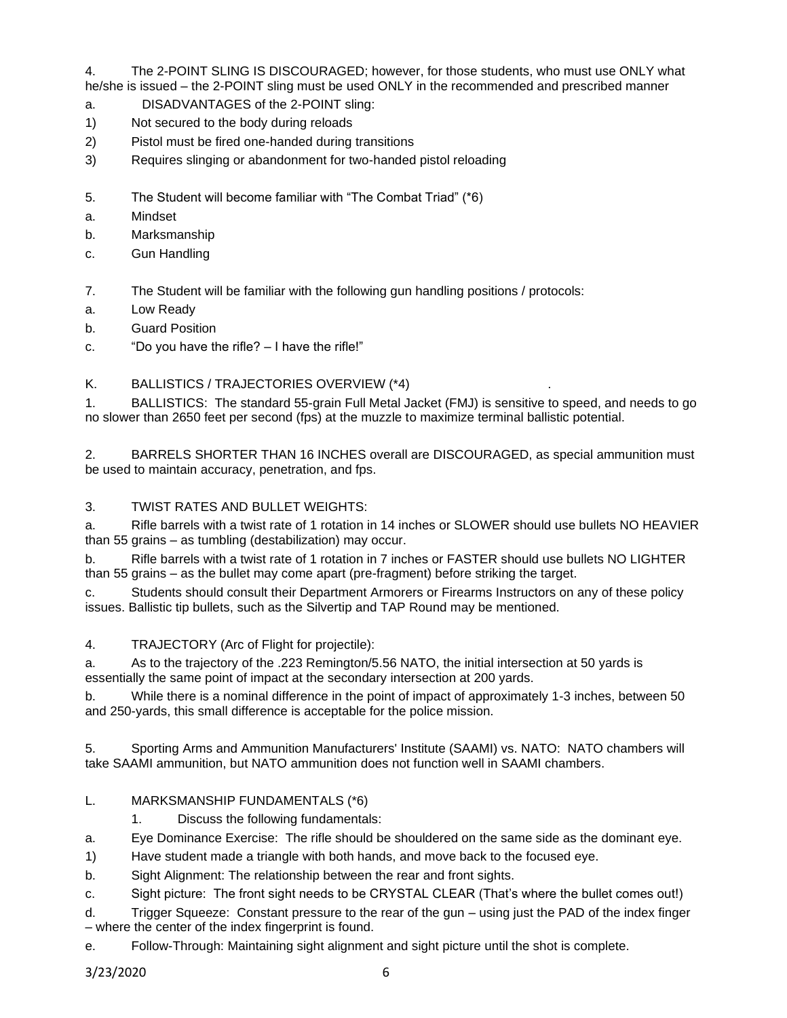4. The 2-POINT SLING IS DISCOURAGED; however, for those students, who must use ONLY what he/she is issued – the 2-POINT sling must be used ONLY in the recommended and prescribed manner

- a. DISADVANTAGES of the 2-POINT sling:
- 1) Not secured to the body during reloads
- 2) Pistol must be fired one-handed during transitions
- 3) Requires slinging or abandonment for two-handed pistol reloading
- 5. The Student will become familiar with "The Combat Triad" (\*6)
- a. Mindset
- b. Marksmanship
- c. Gun Handling

7. The Student will be familiar with the following gun handling positions / protocols:

- a. Low Ready
- b. Guard Position
- c. "Do you have the rifle? I have the rifle!"

## K. BALLISTICS / TRAJECTORIES OVERVIEW (\*4)

1. BALLISTICS: The standard 55-grain Full Metal Jacket (FMJ) is sensitive to speed, and needs to go no slower than 2650 feet per second (fps) at the muzzle to maximize terminal ballistic potential.

2. BARRELS SHORTER THAN 16 INCHES overall are DISCOURAGED, as special ammunition must be used to maintain accuracy, penetration, and fps.

## 3. TWIST RATES AND BULLET WEIGHTS:

a. Rifle barrels with a twist rate of 1 rotation in 14 inches or SLOWER should use bullets NO HEAVIER than 55 grains – as tumbling (destabilization) may occur.

b. Rifle barrels with a twist rate of 1 rotation in 7 inches or FASTER should use bullets NO LIGHTER than 55 grains – as the bullet may come apart (pre-fragment) before striking the target.

c. Students should consult their Department Armorers or Firearms Instructors on any of these policy issues. Ballistic tip bullets, such as the Silvertip and TAP Round may be mentioned.

## 4. TRAJECTORY (Arc of Flight for projectile):

a. As to the trajectory of the .223 Remington/5.56 NATO, the initial intersection at 50 yards is essentially the same point of impact at the secondary intersection at 200 yards.

b. While there is a nominal difference in the point of impact of approximately 1-3 inches, between 50 and 250-yards, this small difference is acceptable for the police mission.

5. Sporting Arms and Ammunition Manufacturers' Institute (SAAMI) vs. NATO: NATO chambers will take SAAMI ammunition, but NATO ammunition does not function well in SAAMI chambers.

# L. MARKSMANSHIP FUNDAMENTALS (\*6)

1. Discuss the following fundamentals:

a. Eye Dominance Exercise: The rifle should be shouldered on the same side as the dominant eye.

1) Have student made a triangle with both hands, and move back to the focused eye.

b. Sight Alignment: The relationship between the rear and front sights.

c. Sight picture: The front sight needs to be CRYSTAL CLEAR (That's where the bullet comes out!)

d. Trigger Squeeze: Constant pressure to the rear of the gun – using just the PAD of the index finger – where the center of the index fingerprint is found.

e. Follow-Through: Maintaining sight alignment and sight picture until the shot is complete.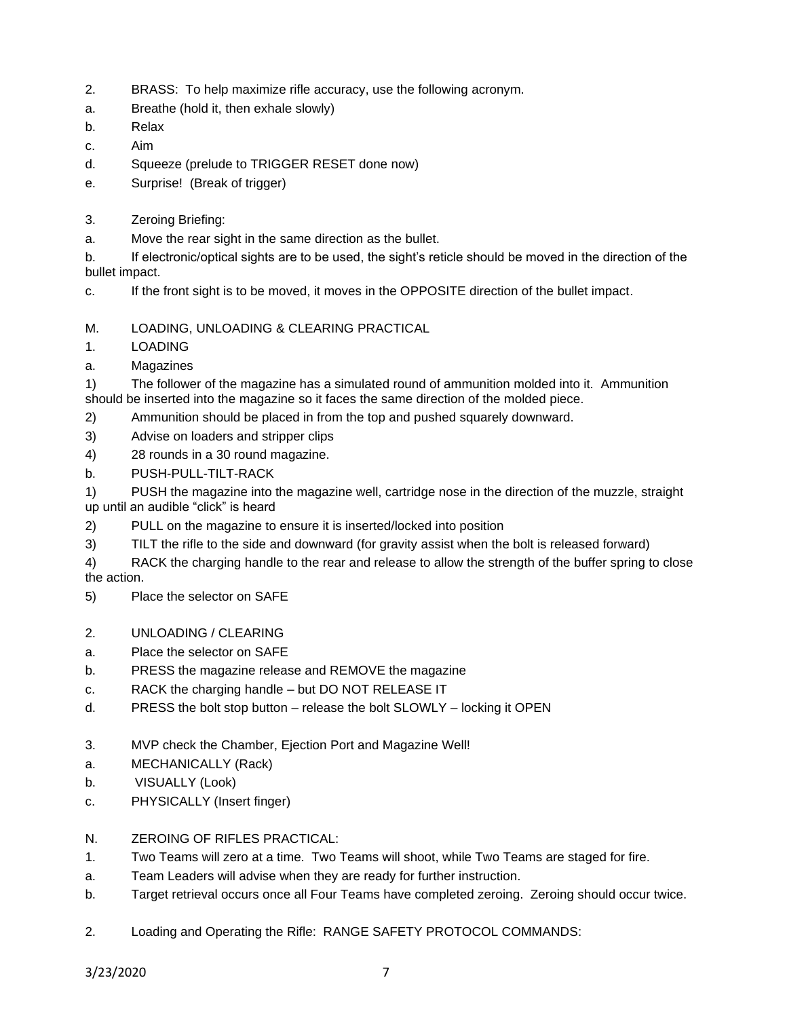- 2. BRASS: To help maximize rifle accuracy, use the following acronym.
- a. Breathe (hold it, then exhale slowly)
- b. Relax
- c. Aim
- d. Squeeze (prelude to TRIGGER RESET done now)
- e. Surprise! (Break of trigger)
- 3. Zeroing Briefing:
- a. Move the rear sight in the same direction as the bullet.

b. If electronic/optical sights are to be used, the sight's reticle should be moved in the direction of the bullet impact.

c. If the front sight is to be moved, it moves in the OPPOSITE direction of the bullet impact.

M. LOADING, UNLOADING & CLEARING PRACTICAL

- 1. LOADING
- a. Magazines

1) The follower of the magazine has a simulated round of ammunition molded into it. Ammunition should be inserted into the magazine so it faces the same direction of the molded piece.

- 2) Ammunition should be placed in from the top and pushed squarely downward.
- 3) Advise on loaders and stripper clips
- 4) 28 rounds in a 30 round magazine.
- b. PUSH-PULL-TILT-RACK

1) PUSH the magazine into the magazine well, cartridge nose in the direction of the muzzle, straight up until an audible "click" is heard

- 2) PULL on the magazine to ensure it is inserted/locked into position
- 3) TILT the rifle to the side and downward (for gravity assist when the bolt is released forward)
- 4) RACK the charging handle to the rear and release to allow the strength of the buffer spring to close the action.
- 5) Place the selector on SAFE
- 2. UNLOADING / CLEARING
- a. Place the selector on SAFE
- b. PRESS the magazine release and REMOVE the magazine
- c. RACK the charging handle but DO NOT RELEASE IT
- d. PRESS the bolt stop button release the bolt SLOWLY locking it OPEN
- 3. MVP check the Chamber, Ejection Port and Magazine Well!
- a. MECHANICALLY (Rack)
- b. VISUALLY (Look)
- c. PHYSICALLY (Insert finger)
- N. ZEROING OF RIFLES PRACTICAL:
- 1. Two Teams will zero at a time. Two Teams will shoot, while Two Teams are staged for fire.
- a. Team Leaders will advise when they are ready for further instruction.
- b. Target retrieval occurs once all Four Teams have completed zeroing. Zeroing should occur twice.
- 2. Loading and Operating the Rifle: RANGE SAFETY PROTOCOL COMMANDS: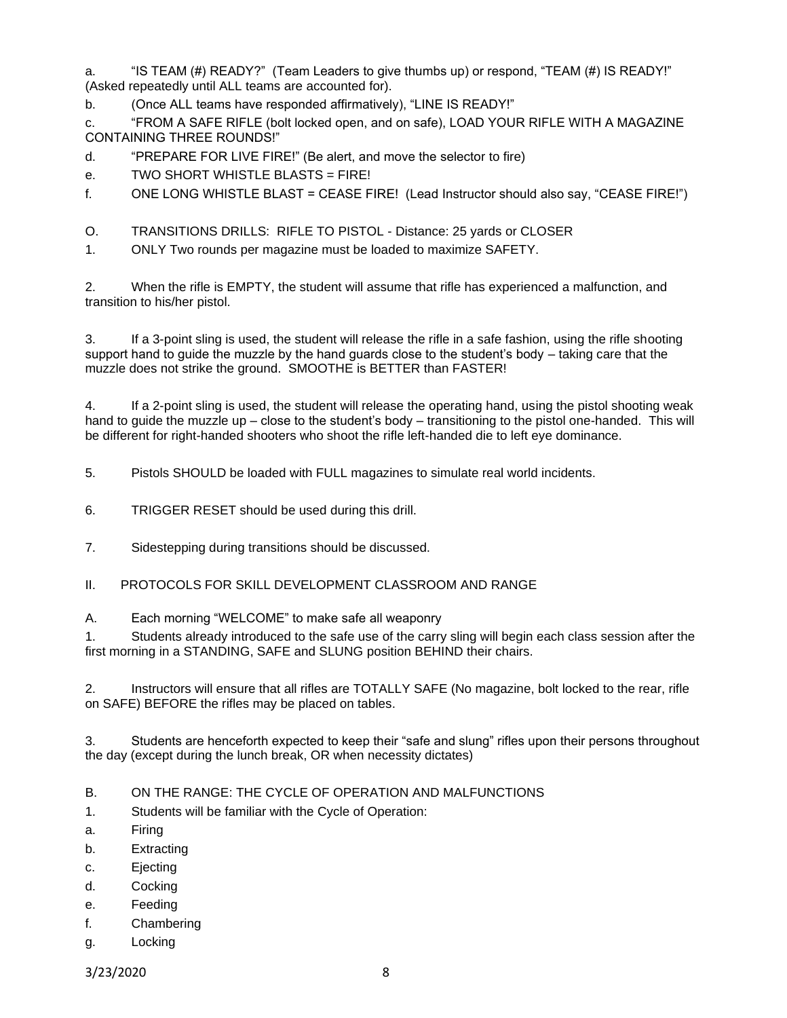a. "IS TEAM (#) READY?" (Team Leaders to give thumbs up) or respond, "TEAM (#) IS READY!" (Asked repeatedly until ALL teams are accounted for).

b. (Once ALL teams have responded affirmatively), "LINE IS READY!"

c. "FROM A SAFE RIFLE (bolt locked open, and on safe), LOAD YOUR RIFLE WITH A MAGAZINE CONTAINING THREE ROUNDS!"

d. "PREPARE FOR LIVE FIRE!" (Be alert, and move the selector to fire)

e. TWO SHORT WHISTLE BLASTS = FIRE!

f. ONE LONG WHISTLE BLAST = CEASE FIRE! (Lead Instructor should also say, "CEASE FIRE!")

O. TRANSITIONS DRILLS: RIFLE TO PISTOL - Distance: 25 yards or CLOSER

1. ONLY Two rounds per magazine must be loaded to maximize SAFETY.

2. When the rifle is EMPTY, the student will assume that rifle has experienced a malfunction, and transition to his/her pistol.

3. If a 3-point sling is used, the student will release the rifle in a safe fashion, using the rifle shooting support hand to guide the muzzle by the hand guards close to the student's body – taking care that the muzzle does not strike the ground. SMOOTHE is BETTER than FASTER!

4. If a 2-point sling is used, the student will release the operating hand, using the pistol shooting weak hand to quide the muzzle up – close to the student's body – transitioning to the pistol one-handed. This will be different for right-handed shooters who shoot the rifle left-handed die to left eye dominance.

5. Pistols SHOULD be loaded with FULL magazines to simulate real world incidents.

6. TRIGGER RESET should be used during this drill.

7. Sidestepping during transitions should be discussed.

II. PROTOCOLS FOR SKILL DEVELOPMENT CLASSROOM AND RANGE

A. Each morning "WELCOME" to make safe all weaponry

1. Students already introduced to the safe use of the carry sling will begin each class session after the first morning in a STANDING, SAFE and SLUNG position BEHIND their chairs.

2. Instructors will ensure that all rifles are TOTALLY SAFE (No magazine, bolt locked to the rear, rifle on SAFE) BEFORE the rifles may be placed on tables.

3. Students are henceforth expected to keep their "safe and slung" rifles upon their persons throughout the day (except during the lunch break, OR when necessity dictates)

B. ON THE RANGE: THE CYCLE OF OPERATION AND MALFUNCTIONS

1. Students will be familiar with the Cycle of Operation:

- a. Firing
- b. Extracting
- c. Ejecting
- d. Cocking
- e. Feeding
- f. Chambering
- g. Locking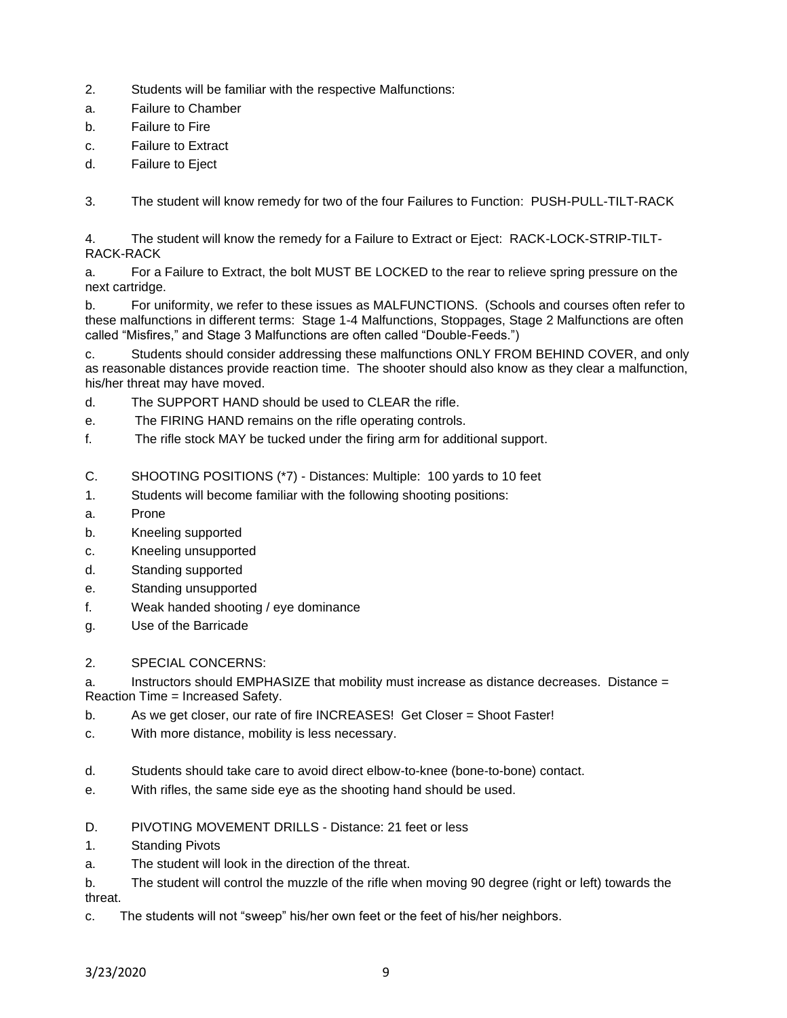- 2. Students will be familiar with the respective Malfunctions:
- a. Failure to Chamber
- b. Failure to Fire
- c. Failure to Extract
- d. Failure to Eject

3. The student will know remedy for two of the four Failures to Function: PUSH-PULL-TILT-RACK

4. The student will know the remedy for a Failure to Extract or Eject: RACK-LOCK-STRIP-TILT-RACK-RACK

a. For a Failure to Extract, the bolt MUST BE LOCKED to the rear to relieve spring pressure on the next cartridge.

b. For uniformity, we refer to these issues as MALFUNCTIONS. (Schools and courses often refer to these malfunctions in different terms: Stage 1-4 Malfunctions, Stoppages, Stage 2 Malfunctions are often called "Misfires," and Stage 3 Malfunctions are often called "Double-Feeds.")

c. Students should consider addressing these malfunctions ONLY FROM BEHIND COVER, and only as reasonable distances provide reaction time. The shooter should also know as they clear a malfunction, his/her threat may have moved.

- d. The SUPPORT HAND should be used to CLEAR the rifle.
- e. The FIRING HAND remains on the rifle operating controls.
- f. The rifle stock MAY be tucked under the firing arm for additional support.
- C. SHOOTING POSITIONS (\*7) Distances: Multiple: 100 yards to 10 feet
- 1. Students will become familiar with the following shooting positions:
- a. Prone
- b. Kneeling supported
- c. Kneeling unsupported
- d. Standing supported
- e. Standing unsupported
- f. Weak handed shooting / eye dominance
- g. Use of the Barricade
- 2. SPECIAL CONCERNS:

a. Instructors should EMPHASIZE that mobility must increase as distance decreases. Distance = Reaction Time = Increased Safety.

- b. As we get closer, our rate of fire INCREASES! Get Closer = Shoot Faster!
- c. With more distance, mobility is less necessary.
- d. Students should take care to avoid direct elbow-to-knee (bone-to-bone) contact.
- e. With rifles, the same side eye as the shooting hand should be used.
- D. PIVOTING MOVEMENT DRILLS Distance: 21 feet or less
- 1. Standing Pivots
- a. The student will look in the direction of the threat.

b. The student will control the muzzle of the rifle when moving 90 degree (right or left) towards the threat.

c. The students will not "sweep" his/her own feet or the feet of his/her neighbors.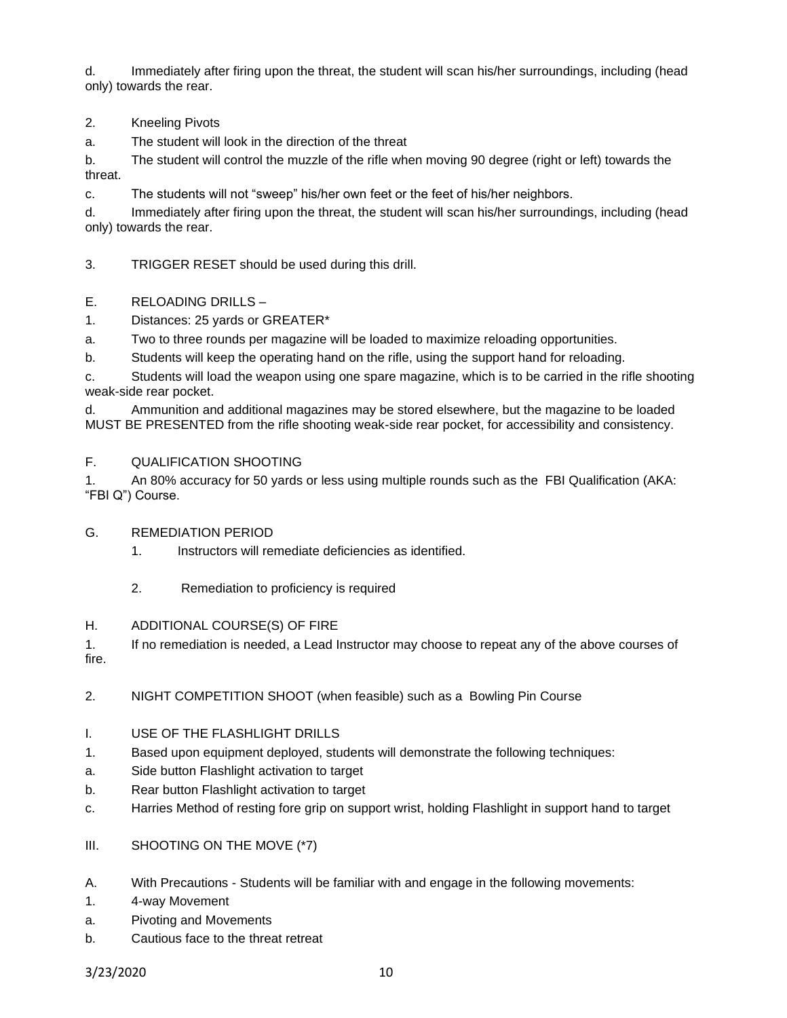d. Immediately after firing upon the threat, the student will scan his/her surroundings, including (head only) towards the rear.

2. Kneeling Pivots

a. The student will look in the direction of the threat

b. The student will control the muzzle of the rifle when moving 90 degree (right or left) towards the threat.

c. The students will not "sweep" his/her own feet or the feet of his/her neighbors.

d. Immediately after firing upon the threat, the student will scan his/her surroundings, including (head only) towards the rear.

3. TRIGGER RESET should be used during this drill.

- E. RELOADING DRILLS –
- 1. Distances: 25 yards or GREATER\*

a. Two to three rounds per magazine will be loaded to maximize reloading opportunities.

b. Students will keep the operating hand on the rifle, using the support hand for reloading.

c. Students will load the weapon using one spare magazine, which is to be carried in the rifle shooting weak-side rear pocket.

d. Ammunition and additional magazines may be stored elsewhere, but the magazine to be loaded MUST BE PRESENTED from the rifle shooting weak-side rear pocket, for accessibility and consistency.

## F. QUALIFICATION SHOOTING

1. An 80% accuracy for 50 yards or less using multiple rounds such as the FBI Qualification (AKA: "FBI Q") Course.

G. REMEDIATION PERIOD

1. Instructors will remediate deficiencies as identified.

- 2. Remediation to proficiency is required
- H. ADDITIONAL COURSE(S) OF FIRE

1. If no remediation is needed, a Lead Instructor may choose to repeat any of the above courses of fire.

- 2. NIGHT COMPETITION SHOOT (when feasible) such as a Bowling Pin Course
- I. USE OF THE FLASHLIGHT DRILLS
- 1. Based upon equipment deployed, students will demonstrate the following techniques:
- a. Side button Flashlight activation to target
- b. Rear button Flashlight activation to target
- c. Harries Method of resting fore grip on support wrist, holding Flashlight in support hand to target
- III. SHOOTING ON THE MOVE (\*7)
- A. With Precautions Students will be familiar with and engage in the following movements:
- 1. 4-way Movement
- a. Pivoting and Movements
- b. Cautious face to the threat retreat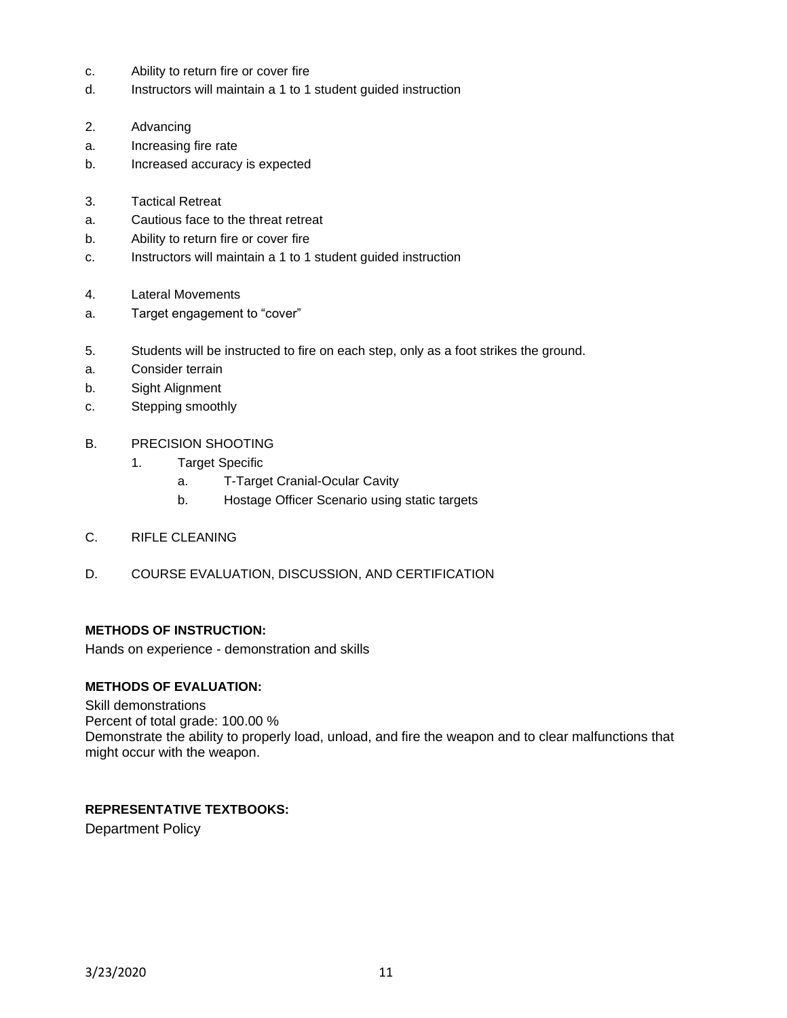- c. Ability to return fire or cover fire
- d. Instructors will maintain a 1 to 1 student guided instruction
- 2. Advancing
- a. Increasing fire rate
- b. Increased accuracy is expected
- 3. Tactical Retreat
- a. Cautious face to the threat retreat
- b. Ability to return fire or cover fire
- c. Instructors will maintain a 1 to 1 student guided instruction
- 4. Lateral Movements
- a. Target engagement to "cover"
- 5. Students will be instructed to fire on each step, only as a foot strikes the ground.
- a. Consider terrain
- b. Sight Alignment
- c. Stepping smoothly
- B. PRECISION SHOOTING
	- 1. Target Specific
		- a. T-Target Cranial-Ocular Cavity
		- b. Hostage Officer Scenario using static targets
- C. RIFLE CLEANING
- D. COURSE EVALUATION, DISCUSSION, AND CERTIFICATION

## **METHODS OF INSTRUCTION:**

Hands on experience - demonstration and skills

### **METHODS OF EVALUATION:**

Skill demonstrations Percent of total grade: 100.00 % Demonstrate the ability to properly load, unload, and fire the weapon and to clear malfunctions that might occur with the weapon.

### **REPRESENTATIVE TEXTBOOKS:**

Department Policy